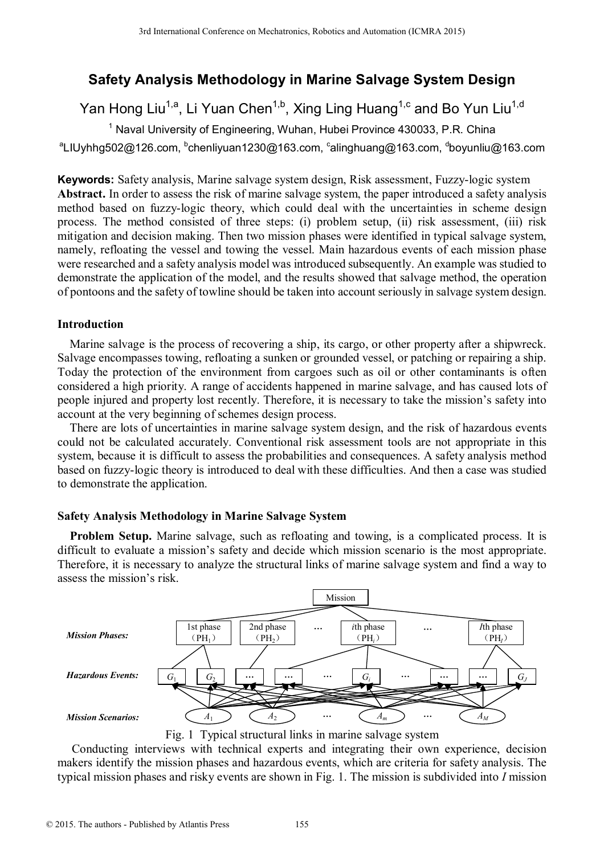# **Safety Analysis Methodology in Marine Salvage System Design**

Yan Hong Liu<sup>1,a</sup>, Li Yuan Chen<sup>1,b</sup>, Xing Ling Huang<sup>1,c</sup> and Bo Yun Liu<sup>1,d</sup>

<sup>1</sup> Naval University of Engineering, Wuhan, Hubei Province 430033, P.R. China

<sup>a</sup>LIUyhhg502@126.com, <sup>b</sup>chenliyuan1230@163.com, <sup>c</sup>alinghuang@163.com, <sup>d</sup>boyunliu@163.com

**Keywords:** Safety analysis, Marine salvage system design, Risk assessment, Fuzzy-logic system **Abstract.** In order to assess the risk of marine salvage system, the paper introduced a safety analysis method based on fuzzy-logic theory, which could deal with the uncertainties in scheme design process. The method consisted of three steps: (i) problem setup, (ii) risk assessment, (iii) risk mitigation and decision making. Then two mission phases were identified in typical salvage system, namely, refloating the vessel and towing the vessel. Main hazardous events of each mission phase were researched and a safety analysis model was introduced subsequently. An example was studied to demonstrate the application of the model, and the results showed that salvage method, the operation of pontoons and the safety of towline should be taken into account seriously in salvage system design.

# **Introduction**

Marine salvage is the process of recovering a ship, its cargo, or other property after a shipwreck. Salvage encompasses towing, refloating a sunken or grounded vessel, or patching or repairing a ship. Today the protection of the environment from cargoes such as oil or other contaminants is often considered a high priority. A range of accidents happened in marine salvage, and has caused lots of people injured and property lost recently. Therefore, it is necessary to take the mission's safety into account at the very beginning of schemes design process.

There are lots of uncertainties in marine salvage system design, and the risk of hazardous events could not be calculated accurately. Conventional risk assessment tools are not appropriate in this system, because it is difficult to assess the probabilities and consequences. A safety analysis method based on fuzzy-logic theory is introduced to deal with these difficulties. And then a case was studied to demonstrate the application.

# **Safety Analysis Methodology in Marine Salvage System**

**Problem Setup.** Marine salvage, such as refloating and towing, is a complicated process. It is difficult to evaluate a mission's safety and decide which mission scenario is the most appropriate. Therefore, it is necessary to analyze the structural links of marine salvage system and find a way to assess the mission's risk.



Fig. 1 Typical structural links in marine salvage system

Conducting interviews with technical experts and integrating their own experience, decision makers identify the mission phases and hazardous events, which are criteria for safety analysis. The typical mission phases and risky events are shown in Fig. 1. The mission is subdivided into *I* mission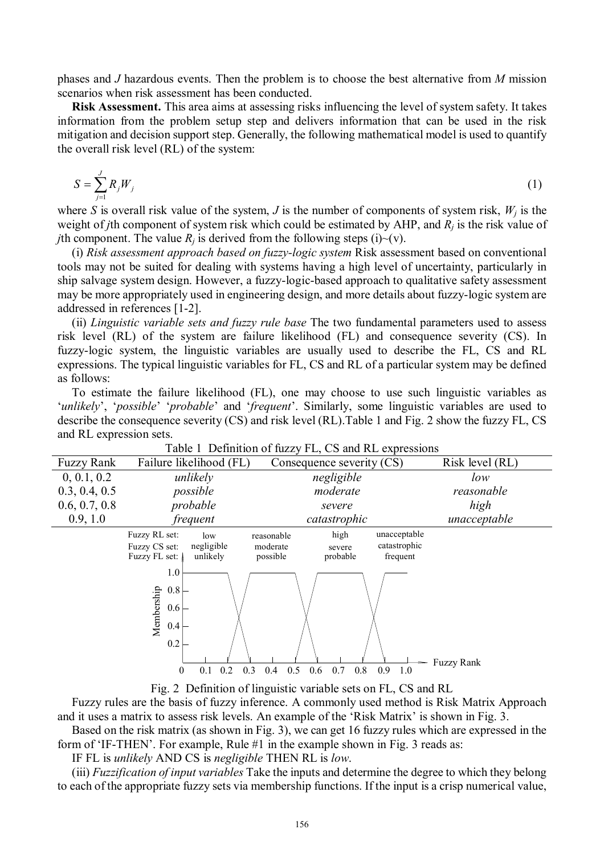phases and *J* hazardous events. Then the problem is to choose the best alternative from *M* mission scenarios when risk assessment has been conducted.

**Risk Assessment.** This area aims at assessing risks influencing the level of system safety. It takes information from the problem setup step and delivers information that can be used in the risk mitigation and decision support step. Generally, the following mathematical model is used to quantify the overall risk level (RL) of the system:

$$
S = \sum_{j=1}^{J} R_j W_j \tag{1}
$$

where *S* is overall risk value of the system, *J* is the number of components of system risk,  $W_j$  is the weight of *j*th component of system risk which could be estimated by AHP, and *R<sup>j</sup>* is the risk value of *j*th component. The value  $R_i$  is derived from the following steps (i)~(v).

(i) *Risk assessment approach based on fuzzy-logic system* Risk assessment based on conventional tools may not be suited for dealing with systems having a high level of uncertainty, particularly in ship salvage system design. However, a fuzzy-logic-based approach to qualitative safety assessment may be more appropriately used in engineering design, and more details about fuzzy-logic system are addressed in references [1-2].

(ii) *Linguistic variable sets and fuzzy rule base* The two fundamental parameters used to assess risk level (RL) of the system are failure likelihood (FL) and consequence severity (CS). In fuzzy-logic system, the linguistic variables are usually used to describe the FL, CS and RL expressions. The typical linguistic variables for FL, CS and RL of a particular system may be defined as follows:

To estimate the failure likelihood (FL), one may choose to use such linguistic variables as '*unlikely*', '*possible*' '*probable*' and '*frequent*'. Similarly, some linguistic variables are used to describe the consequence severity (CS) and risk level (RL).Table 1 and Fig. 2 show the fuzzy FL, CS and RL expression sets.

| <b>Fuzzy Rank</b> | Failure likelihood (FL)                                                          | Consequence severity (CS)                                                                                    | Risk level (RL)   |
|-------------------|----------------------------------------------------------------------------------|--------------------------------------------------------------------------------------------------------------|-------------------|
| 0, 0.1, 0.2       | unlikely                                                                         | negligible                                                                                                   | low               |
| 0.3, 0.4, 0.5     | possible                                                                         | moderate                                                                                                     | reasonable        |
| 0.6, 0.7, 0.8     | probable                                                                         | severe                                                                                                       | high              |
| 0.9, 1.0          | frequent                                                                         | catastrophic                                                                                                 | unacceptable      |
|                   | Fuzzy RL set:<br>low<br>negligible<br>Fuzzy CS set:<br>Fuzzy FL set:<br>unlikely | high<br>unacceptable<br>reasonable<br>catastrophic<br>moderate<br>severe<br>possible<br>probable<br>frequent |                   |
|                   | 1.0<br>0.8<br>Membership<br>0.6<br>0.4<br>0.2                                    |                                                                                                              | <b>Fuzzy Rank</b> |
|                   | 0.3<br>0.2<br>0<br>0.1                                                           | 0.8<br>0.5<br>0.7<br>0.9<br>0.4<br>0.6<br>1.0                                                                |                   |

Table 1 Definition of fuzzy FL, CS and RL expressions

Fig. 2 Definition of linguistic variable sets on FL, CS and RL

Fuzzy rules are the basis of fuzzy inference. A commonly used method is Risk Matrix Approach and it uses a matrix to assess risk levels. An example of the 'Risk Matrix' is shown in Fig. 3.

Based on the risk matrix (as shown in Fig. 3), we can get 16 fuzzy rules which are expressed in the form of 'IF-THEN'. For example, Rule #1 in the example shown in Fig. 3 reads as:

IF FL is *unlikely* AND CS is *negligible* THEN RL is *low*.

(iii) *Fuzzification of input variables* Take the inputs and determine the degree to which they belong to each of the appropriate fuzzy sets via membership functions. If the input is a crisp numerical value,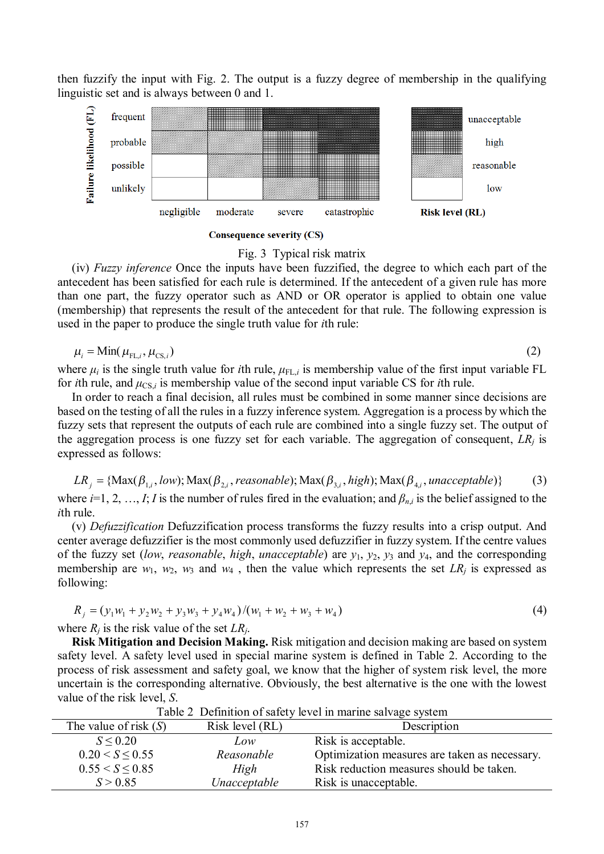then fuzzify the input with Fig. 2. The output is a fuzzy degree of membership in the qualifying linguistic set and is always between 0 and 1.



#### **Consequence severity (CS)**

### Fig. 3 Typical risk matrix

(iv) *Fuzzy inference* Once the inputs have been fuzzified, the degree to which each part of the antecedent has been satisfied for each rule is determined. If the antecedent of a given rule has more than one part, the fuzzy operator such as AND or OR operator is applied to obtain one value (membership) that represents the result of the antecedent for that rule. The following expression is used in the paper to produce the single truth value for *i*th rule:

$$
\mu_i = \text{Min}(\mu_{\text{FL},i}, \mu_{\text{CS},i}) \tag{2}
$$

where  $\mu_i$  is the single truth value for *i*th rule,  $\mu_{FL,i}$  is membership value of the first input variable FL for *i*th rule, and  $\mu_{CS,i}$  is membership value of the second input variable CS for *i*th rule.

In order to reach a final decision, all rules must be combined in some manner since decisions are based on the testing of all the rules in a fuzzy inference system. Aggregation is a process by which the fuzzy sets that represent the outputs of each rule are combined into a single fuzzy set. The output of the aggregation process is one fuzzy set for each variable. The aggregation of consequent,  $LR<sub>i</sub>$  is expressed as follows:

 $LR_i = \{Max(\beta_{1i}, low); Max(\beta_{2i}, reasonable); Max(\beta_{3i}, high); Max(\beta_{4i}, unacceptable)\}$  (3) where  $i=1, 2, ..., I; I$  is the number of rules fired in the evaluation; and  $\beta_{n,i}$  is the belief assigned to the *i*th rule.

(v) *Defuzzification* Defuzzification process transforms the fuzzy results into a crisp output. And center average defuzzifier is the most commonly used defuzzifier in fuzzy system. If the centre values of the fuzzy set (*low*, *reasonable*, *high*, *unacceptable*) are *y*1, *y*2, *y*<sup>3</sup> and *y*4, and the corresponding membership are  $w_1$ ,  $w_2$ ,  $w_3$  and  $w_4$ , then the value which represents the set  $LR_j$  is expressed as following:

$$
R_j = (y_1 w_1 + y_2 w_2 + y_3 w_3 + y_4 w_4) / (w_1 + w_2 + w_3 + w_4)
$$
\n<sup>(4)</sup>

where  $R_i$  is the risk value of the set  $LR_i$ .

**Risk Mitigation and Decision Making.** Risk mitigation and decision making are based on system safety level. A safety level used in special marine system is defined in Table 2. According to the process of risk assessment and safety goal, we know that the higher of system risk level, the more uncertain is the corresponding alternative. Obviously, the best alternative is the one with the lowest value of the risk level, *S*.

| Table 2 Definition of safety level in marine salvage system |                 |                                               |  |  |  |  |  |  |  |  |
|-------------------------------------------------------------|-----------------|-----------------------------------------------|--|--|--|--|--|--|--|--|
| The value of risk $(S)$                                     | Risk level (RL) | Description                                   |  |  |  |  |  |  |  |  |
| $S \le 0.20$                                                | Low             | Risk is acceptable.                           |  |  |  |  |  |  |  |  |
| 0.20 < S < 0.55                                             | Reasonable      | Optimization measures are taken as necessary. |  |  |  |  |  |  |  |  |
| 0.55 < S < 0.85                                             | High            | Risk reduction measures should be taken.      |  |  |  |  |  |  |  |  |
| S > 0.85                                                    | Unacceptable    | Risk is unacceptable.                         |  |  |  |  |  |  |  |  |
|                                                             |                 |                                               |  |  |  |  |  |  |  |  |

Table 2 Definition of safety level in marine salvage system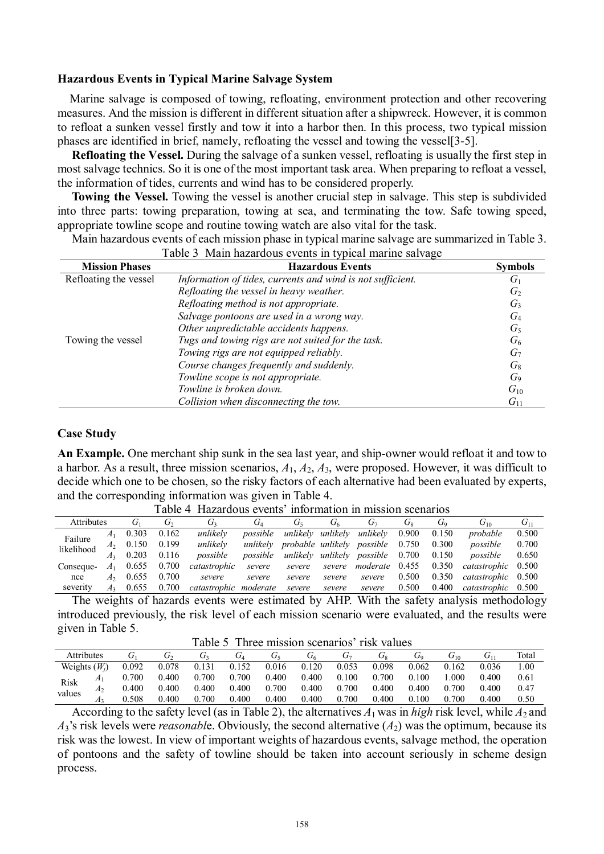#### **Hazardous Events in Typical Marine Salvage System**

Marine salvage is composed of towing, refloating, environment protection and other recovering measures. And the mission is different in different situation after a shipwreck. However, it is common to refloat a sunken vessel firstly and tow it into a harbor then. In this process, two typical mission phases are identified in brief, namely, refloating the vessel and towing the vessel[3-5].

**Refloating the Vessel.** During the salvage of a sunken vessel, refloating is usually the first step in most salvage technics. So it is one of the most important task area. When preparing to refloat a vessel, the information of tides, currents and wind has to be considered properly.

**Towing the Vessel.** Towing the vessel is another crucial step in salvage. This step is subdivided into three parts: towing preparation, towing at sea, and terminating the tow. Safe towing speed, appropriate towline scope and routine towing watch are also vital for the task.

Main hazardous events of each mission phase in typical marine salvage are summarized in Table 3.

| <b>Mission Phases</b> | <b>Hazardous Events</b>                                    | <b>Symbols</b> |
|-----------------------|------------------------------------------------------------|----------------|
| Refloating the vessel | Information of tides, currents and wind is not sufficient. | $G_1$          |
|                       | Refloating the vessel in heavy weather.                    | $G_2$          |
|                       | Refloating method is not appropriate.                      | $G_3$          |
|                       | Salvage pontoons are used in a wrong way.                  | $G_4$          |
|                       | Other unpredictable accidents happens.                     | $G_5$          |
| Towing the vessel     | Tugs and towing rigs are not suited for the task.          | $G_6$          |
|                       | Towing rigs are not equipped reliably.                     | G <sub>7</sub> |
|                       | Course changes frequently and suddenly.                    | $G_8$          |
|                       | Towline scope is not appropriate.                          | G <sub>9</sub> |
|                       | Towline is broken down.                                    | $G_{10}$       |
|                       | Collision when disconnecting the tow.                      | $G_{11}$       |

# Table 3 Main hazardous events in typical marine salvage

#### **Case Study**

**An Example.** One merchant ship sunk in the sea last year, and ship-owner would refloat it and tow to a harbor. As a result, three mission scenarios, *A*1, *A*2, *A*3, were proposed. However, it was difficult to decide which one to be chosen, so the risky factors of each alternative had been evaluated by experts, and the corresponding information was given in Table 4.

| <b>Attributes</b> |                | $G_1$ | $G_2$ | $G_3$                 | $G_4$<br>Ġς<br>G7<br>U6 |          |          | G <sub>s</sub>                   | Go    | $G_{10}$ | $G_{11}$           |       |
|-------------------|----------------|-------|-------|-----------------------|-------------------------|----------|----------|----------------------------------|-------|----------|--------------------|-------|
| Failure           | A <sub>1</sub> | 0.303 | 0.162 | unlikelv              | possible                | unlikelv | unlikelv | unlikelv                         | 0.900 | 0.150    | probable           | 0.500 |
| likelihood        | A <sub>2</sub> | 0.150 | 0.199 | unlikely              | unlikelv                |          |          | probable unlikely possible       | 0.750 | 0.300    | possible           | 0.700 |
|                   | A <sub>3</sub> | 0.203 | 0.116 | possible              | possible                |          |          | unlikely unlikely possible 0.700 |       | 0.150    | possible           | 0.650 |
| Conseque-         | $A_1$          | 0.655 | 0.700 | catastrophic          | severe                  | severe   | severe   | moderate 0.455                   |       | 0.350    | catastrophic 0.500 |       |
| nce               | A <sub>2</sub> | 0.655 | 0.700 | severe                | severe                  | severe   | severe   | severe                           | 0.500 | 0.350    | catastrophic 0.500 |       |
| severity          | A <sub>3</sub> | 0.655 | 0.700 | catastrophic moderate |                         | severe   | severe   | severe                           | 0.500 | 0.400    | catastrophic 0.500 |       |

Table 4 Hazardous events' information in mission scenarios

The weights of hazards events were estimated by AHP. With the safety analysis methodology introduced previously, the risk level of each mission scenario were evaluated, and the results were given in Table 5.

Table 5 Three mission scenarios' risk values

| Attributes      |    |       | یں    |       | U1    | Ū۶    | U۵    | J7    | U۹    | Ū٥    | $\rm{U_{10}}$ | $\mathbf{U}_1$ | Total |
|-----------------|----|-------|-------|-------|-------|-------|-------|-------|-------|-------|---------------|----------------|-------|
| Weights $(W_i)$ |    | 0.092 | 0.078 | 0.131 | 0.152 | 0.016 | 0.120 | 0.053 | 0.098 | 0.062 | .162          | 0.036          | 00.1  |
|                 | A1 | 0.700 | 0.400 | 700   | 0.700 | 0.400 | 0.400 | 0.100 | 0.700 | 0.100 | .000          | 0.400          | 0.61  |
| Risk<br>values  | А2 | 0.400 | 0.400 | 0.400 | 0.400 | 0.700 | 0.400 | 0.700 | 0.400 | 0.400 | 0.700         | 0.400          | 0.47  |
|                 |    | .508  | 0.400 | 700   | 0.400 | 0.400 | 0.400 | 0.700 | 0.400 | 0.100 | .700          | 0.400          | 0.50  |

According to the safety level (as in Table 2), the alternatives  $A_1$  was in *high* risk level, while  $A_2$  and  $A_3$ 's risk levels were *reasonable*. Obviously, the second alternative  $(A_2)$  was the optimum, because its risk was the lowest. In view of important weights of hazardous events, salvage method, the operation of pontoons and the safety of towline should be taken into account seriously in scheme design process.